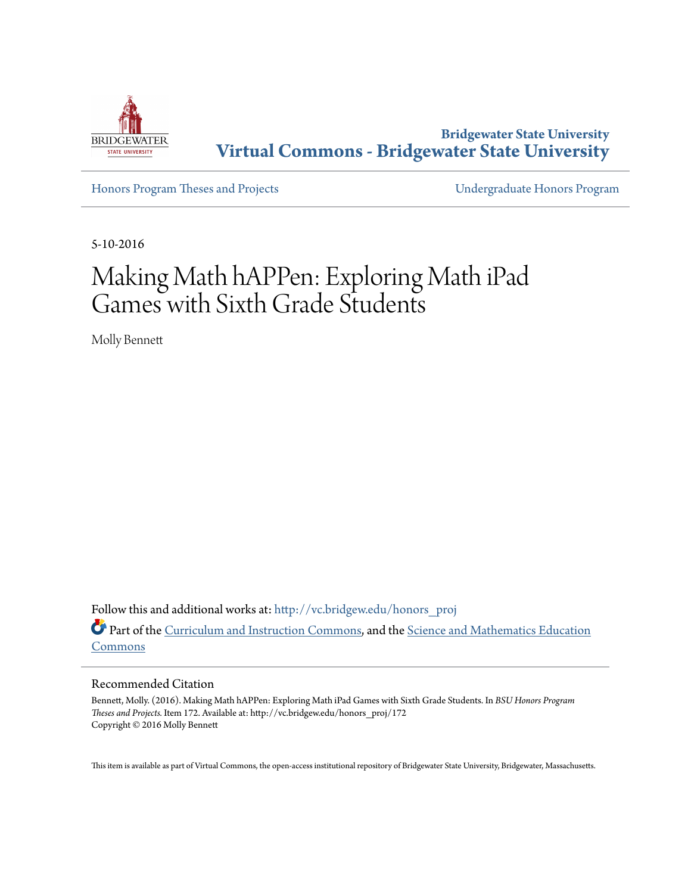

**Bridgewater State University [Virtual Commons - Bridgewater State University](http://vc.bridgew.edu?utm_source=vc.bridgew.edu%2Fhonors_proj%2F172&utm_medium=PDF&utm_campaign=PDFCoverPages)**

[Honors Program Theses and Projects](http://vc.bridgew.edu/honors_proj?utm_source=vc.bridgew.edu%2Fhonors_proj%2F172&utm_medium=PDF&utm_campaign=PDFCoverPages) [Undergraduate Honors Program](http://vc.bridgew.edu/honors?utm_source=vc.bridgew.edu%2Fhonors_proj%2F172&utm_medium=PDF&utm_campaign=PDFCoverPages)

5-10-2016

# Making Math hAPPen: Exploring Math iPad Games with Sixth Grade Students

Molly Bennett

Follow this and additional works at: [http://vc.bridgew.edu/honors\\_proj](http://vc.bridgew.edu/honors_proj?utm_source=vc.bridgew.edu%2Fhonors_proj%2F172&utm_medium=PDF&utm_campaign=PDFCoverPages) Part of the [Curriculum and Instruction Commons](http://network.bepress.com/hgg/discipline/786?utm_source=vc.bridgew.edu%2Fhonors_proj%2F172&utm_medium=PDF&utm_campaign=PDFCoverPages), and the [Science and Mathematics Education](http://network.bepress.com/hgg/discipline/800?utm_source=vc.bridgew.edu%2Fhonors_proj%2F172&utm_medium=PDF&utm_campaign=PDFCoverPages) [Commons](http://network.bepress.com/hgg/discipline/800?utm_source=vc.bridgew.edu%2Fhonors_proj%2F172&utm_medium=PDF&utm_campaign=PDFCoverPages)

#### Recommended Citation

Bennett, Molly. (2016). Making Math hAPPen: Exploring Math iPad Games with Sixth Grade Students. In *BSU Honors Program Theses and Projects.* Item 172. Available at: http://vc.bridgew.edu/honors\_proj/172 Copyright © 2016 Molly Bennett

This item is available as part of Virtual Commons, the open-access institutional repository of Bridgewater State University, Bridgewater, Massachusetts.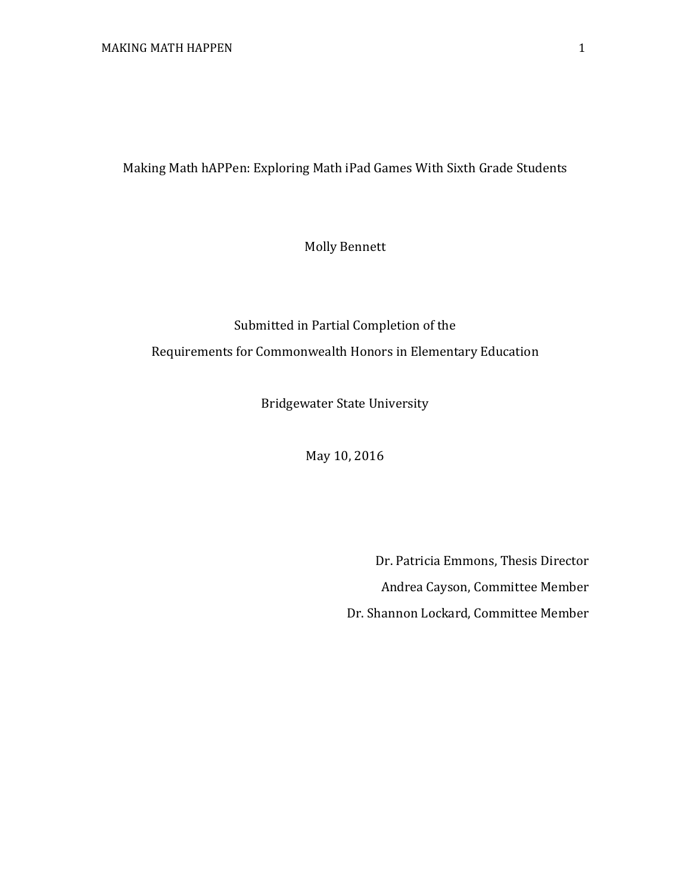Making Math hAPPen: Exploring Math iPad Games With Sixth Grade Students

Molly Bennett

# Submitted in Partial Completion of the Requirements for Commonwealth Honors in Elementary Education

Bridgewater State University

May 10, 2016

Dr. Patricia Emmons, Thesis Director Andrea Cayson, Committee Member Dr. Shannon Lockard, Committee Member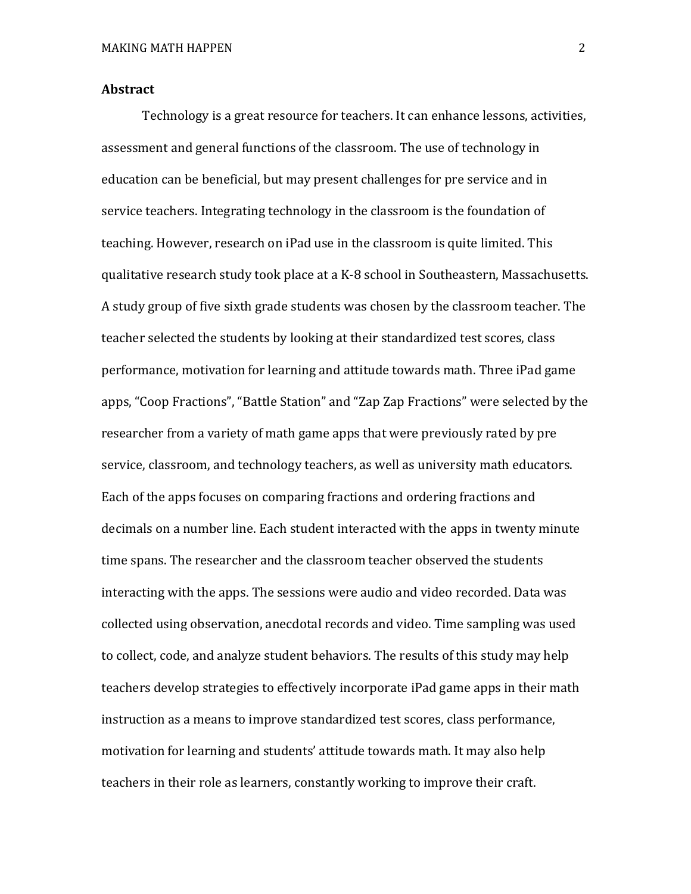#### **Abstract**

Technology is a great resource for teachers. It can enhance lessons, activities, assessment and general functions of the classroom. The use of technology in education can be beneficial, but may present challenges for pre service and in service teachers. Integrating technology in the classroom is the foundation of teaching. However, research on iPad use in the classroom is quite limited. This qualitative research study took place at a K-8 school in Southeastern, Massachusetts. A study group of five sixth grade students was chosen by the classroom teacher. The teacher selected the students by looking at their standardized test scores, class performance, motivation for learning and attitude towards math. Three iPad game apps, "Coop Fractions", "Battle Station" and "Zap Zap Fractions" were selected by the researcher from a variety of math game apps that were previously rated by pre service, classroom, and technology teachers, as well as university math educators. Each of the apps focuses on comparing fractions and ordering fractions and decimals on a number line. Each student interacted with the apps in twenty minute time spans. The researcher and the classroom teacher observed the students interacting with the apps. The sessions were audio and video recorded. Data was collected using observation, anecdotal records and video. Time sampling was used to collect, code, and analyze student behaviors. The results of this study may help teachers develop strategies to effectively incorporate iPad game apps in their math instruction as a means to improve standardized test scores, class performance, motivation for learning and students' attitude towards math. It may also help teachers in their role as learners, constantly working to improve their craft.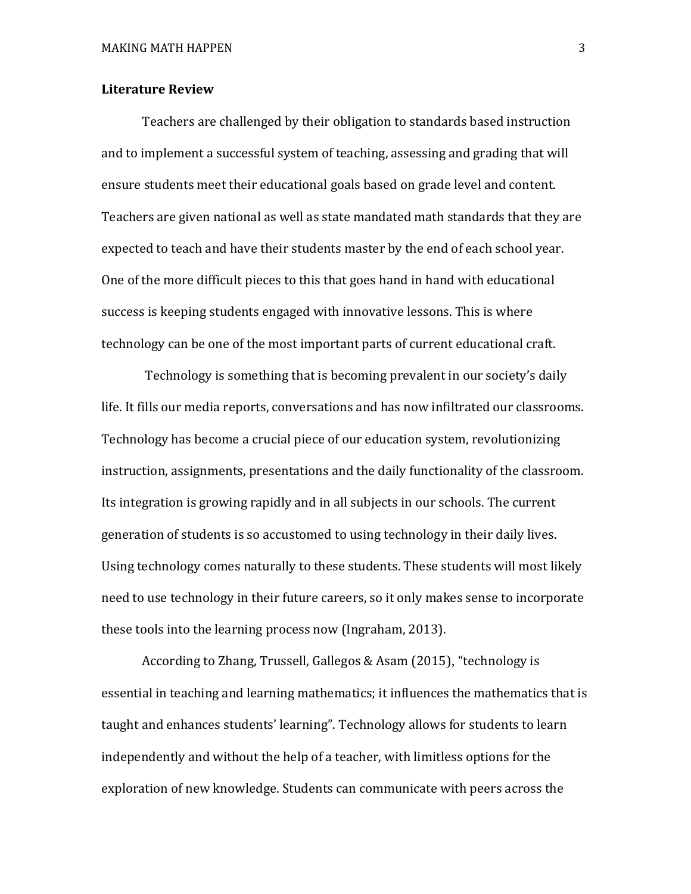#### **Literature Review**

Teachers are challenged by their obligation to standards based instruction and to implement a successful system of teaching, assessing and grading that will ensure students meet their educational goals based on grade level and content. Teachers are given national as well as state mandated math standards that they are expected to teach and have their students master by the end of each school year. One of the more difficult pieces to this that goes hand in hand with educational success is keeping students engaged with innovative lessons. This is where technology can be one of the most important parts of current educational craft.

Technology is something that is becoming prevalent in our society's daily life. It fills our media reports, conversations and has now infiltrated our classrooms. Technology has become a crucial piece of our education system, revolutionizing instruction, assignments, presentations and the daily functionality of the classroom. Its integration is growing rapidly and in all subjects in our schools. The current generation of students is so accustomed to using technology in their daily lives. Using technology comes naturally to these students. These students will most likely need to use technology in their future careers, so it only makes sense to incorporate these tools into the learning process now (Ingraham, 2013).

According to Zhang, Trussell, Gallegos & Asam (2015), "technology is essential in teaching and learning mathematics; it influences the mathematics that is taught and enhances students' learning". Technology allows for students to learn independently and without the help of a teacher, with limitless options for the exploration of new knowledge. Students can communicate with peers across the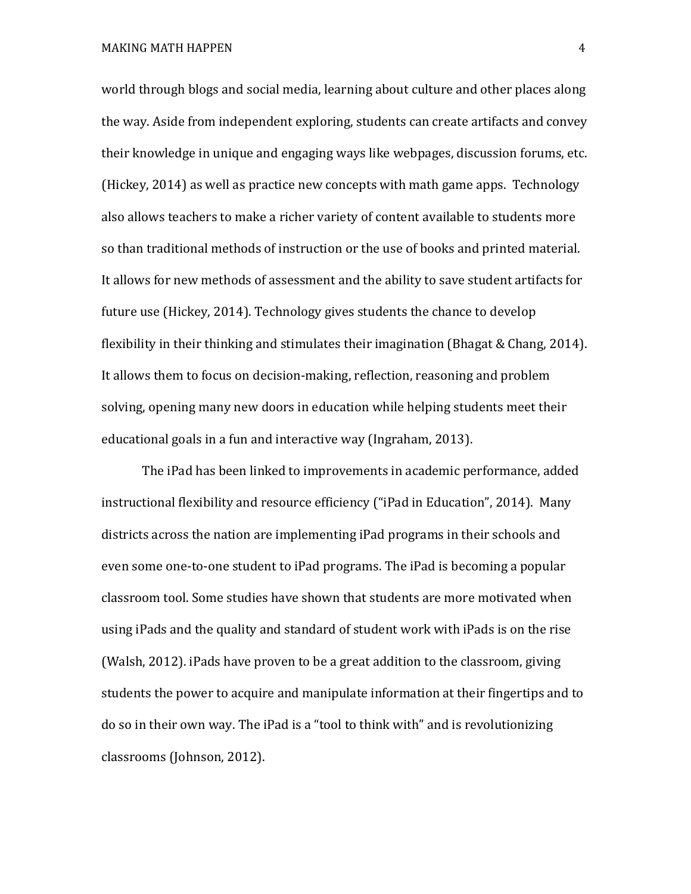MAKING MATH HAPPEN 4

world through blogs and social media, learning about culture and other places along the way. Aside from independent exploring, students can create artifacts and convey their knowledge in unique and engaging ways like webpages, discussion forums, etc. (Hickey, 2014) as well as practice new concepts with math game apps. Technology also allows teachers to make a richer variety of content available to students more so than traditional methods of instruction or the use of books and printed material. It allows for new methods of assessment and the ability to save student artifacts for future use (Hickey, 2014). Technology gives students the chance to develop flexibility in their thinking and stimulates their imagination (Bhagat & Chang, 2014). It allows them to focus on decision-making, reflection, reasoning and problem solving, opening many new doors in education while helping students meet their educational goals in a fun and interactive way (Ingraham, 2013).

The iPad has been linked to improvements in academic performance, added instructional flexibility and resource efficiency ("iPad in Education", 2014). Many districts across the nation are implementing iPad programs in their schools and even some one-to-one student to iPad programs. The iPad is becoming a popular classroom tool. Some studies have shown that students are more motivated when using iPads and the quality and standard of student work with iPads is on the rise (Walsh, 2012). iPads have proven to be a great addition to the classroom, giving students the power to acquire and manipulate information at their fingertips and to do so in their own way. The iPad is a "tool to think with" and is revolutionizing classrooms (Johnson, 2012).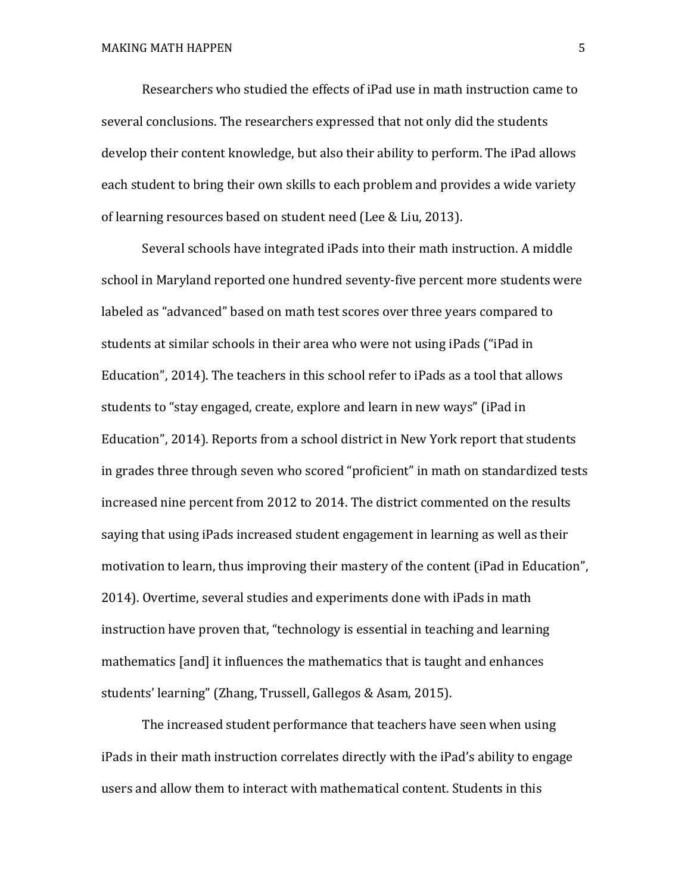Researchers who studied the effects of iPad use in math instruction came to several conclusions. The researchers expressed that not only did the students develop their content knowledge, but also their ability to perform. The iPad allows each student to bring their own skills to each problem and provides a wide variety of learning resources based on student need (Lee & Liu, 2013).

Several schools have integrated iPads into their math instruction. A middle school in Maryland reported one hundred seventy-five percent more students were labeled as "advanced" based on math test scores over three years compared to students at similar schools in their area who were not using iPads ("iPad in Education", 2014). The teachers in this school refer to iPads as a tool that allows students to "stay engaged, create, explore and learn in new ways" (iPad in Education", 2014). Reports from a school district in New York report that students in grades three through seven who scored "proficient" in math on standardized tests increased nine percent from 2012 to 2014. The district commented on the results saying that using iPads increased student engagement in learning as well as their motivation to learn, thus improving their mastery of the content (iPad in Education", 2014). Overtime, several studies and experiments done with iPads in math instruction have proven that, "technology is essential in teaching and learning mathematics [and] it influences the mathematics that is taught and enhances students' learning" (Zhang, Trussell, Gallegos & Asam, 2015).

The increased student performance that teachers have seen when using iPads in their math instruction correlates directly with the iPad's ability to engage users and allow them to interact with mathematical content. Students in this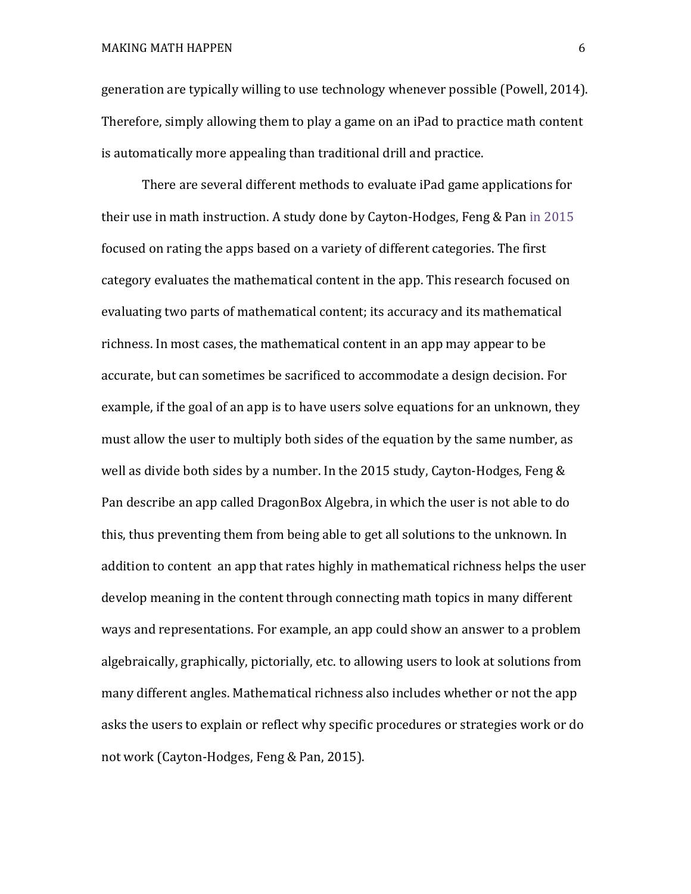generation are typically willing to use technology whenever possible (Powell, 2014). Therefore, simply allowing them to play a game on an iPad to practice math content is automatically more appealing than traditional drill and practice.

There are several different methods to evaluate iPad game applications for their use in math instruction. A study done by Cayton-Hodges, Feng & Pan in 2015 focused on rating the apps based on a variety of different categories. The first category evaluates the mathematical content in the app. This research focused on evaluating two parts of mathematical content; its accuracy and its mathematical richness. In most cases, the mathematical content in an app may appear to be accurate, but can sometimes be sacrificed to accommodate a design decision. For example, if the goal of an app is to have users solve equations for an unknown, they must allow the user to multiply both sides of the equation by the same number, as well as divide both sides by a number. In the 2015 study, Cayton-Hodges, Feng & Pan describe an app called DragonBox Algebra, in which the user is not able to do this, thus preventing them from being able to get all solutions to the unknown. In addition to content an app that rates highly in mathematical richness helps the user develop meaning in the content through connecting math topics in many different ways and representations. For example, an app could show an answer to a problem algebraically, graphically, pictorially, etc. to allowing users to look at solutions from many different angles. Mathematical richness also includes whether or not the app asks the users to explain or reflect why specific procedures or strategies work or do not work (Cayton-Hodges, Feng & Pan, 2015).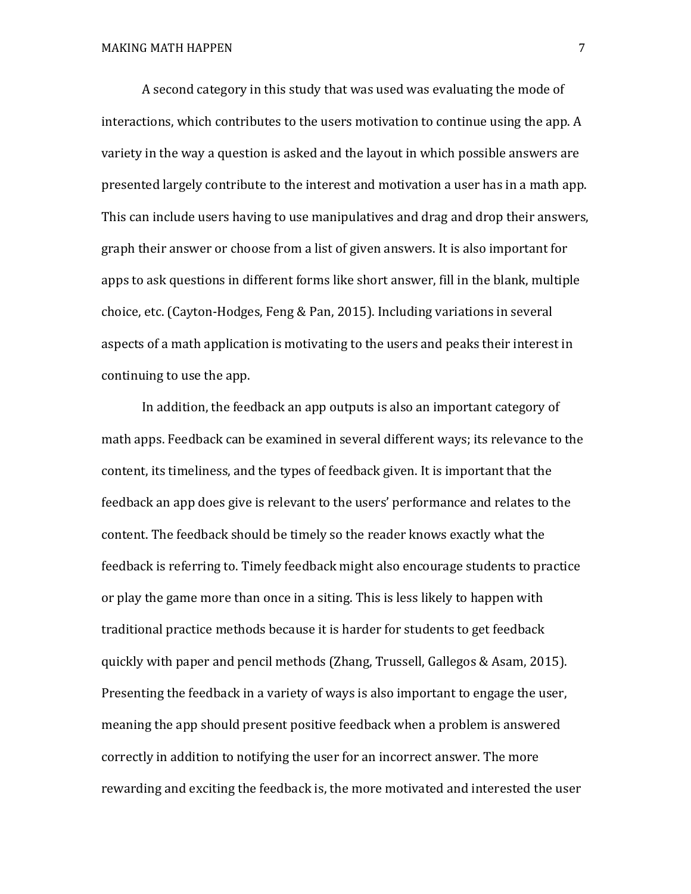A second category in this study that was used was evaluating the mode of interactions, which contributes to the users motivation to continue using the app. A variety in the way a question is asked and the layout in which possible answers are presented largely contribute to the interest and motivation a user has in a math app. This can include users having to use manipulatives and drag and drop their answers, graph their answer or choose from a list of given answers. It is also important for apps to ask questions in different forms like short answer, fill in the blank, multiple choice, etc. (Cayton-Hodges, Feng & Pan, 2015). Including variations in several aspects of a math application is motivating to the users and peaks their interest in continuing to use the app.

In addition, the feedback an app outputs is also an important category of math apps. Feedback can be examined in several different ways; its relevance to the content, its timeliness, and the types of feedback given. It is important that the feedback an app does give is relevant to the users' performance and relates to the content. The feedback should be timely so the reader knows exactly what the feedback is referring to. Timely feedback might also encourage students to practice or play the game more than once in a siting. This is less likely to happen with traditional practice methods because it is harder for students to get feedback quickly with paper and pencil methods (Zhang, Trussell, Gallegos & Asam, 2015). Presenting the feedback in a variety of ways is also important to engage the user, meaning the app should present positive feedback when a problem is answered correctly in addition to notifying the user for an incorrect answer. The more rewarding and exciting the feedback is, the more motivated and interested the user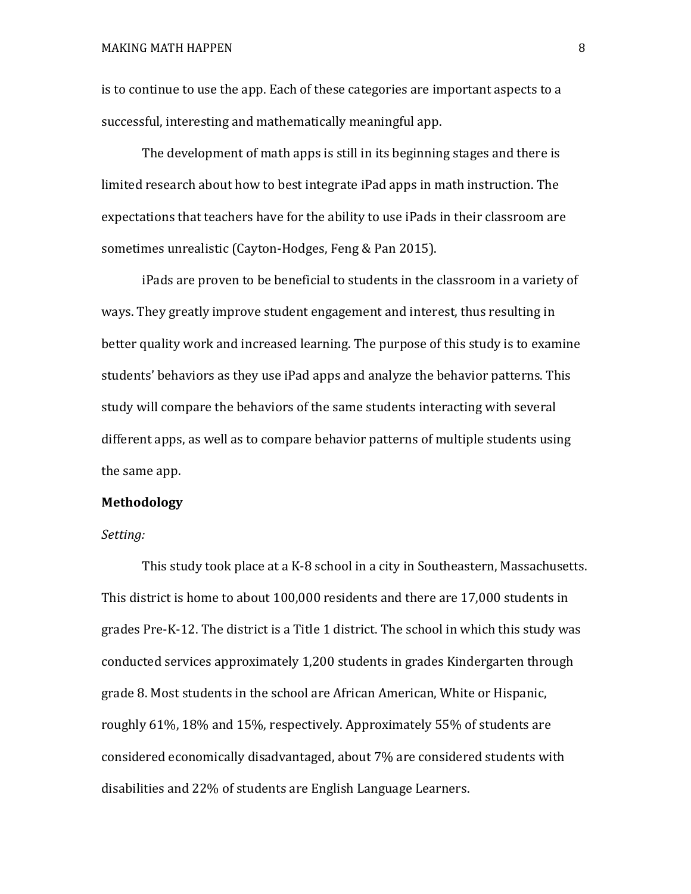is to continue to use the app. Each of these categories are important aspects to a successful, interesting and mathematically meaningful app.

The development of math apps is still in its beginning stages and there is limited research about how to best integrate iPad apps in math instruction. The expectations that teachers have for the ability to use iPads in their classroom are sometimes unrealistic (Cayton-Hodges, Feng & Pan 2015).

iPads are proven to be beneficial to students in the classroom in a variety of ways. They greatly improve student engagement and interest, thus resulting in better quality work and increased learning. The purpose of this study is to examine students' behaviors as they use iPad apps and analyze the behavior patterns. This study will compare the behaviors of the same students interacting with several different apps, as well as to compare behavior patterns of multiple students using the same app.

#### **Methodology**

#### *Setting:*

This study took place at a K-8 school in a city in Southeastern, Massachusetts. This district is home to about 100,000 residents and there are 17,000 students in grades Pre-K-12. The district is a Title 1 district. The school in which this study was conducted services approximately 1,200 students in grades Kindergarten through grade 8. Most students in the school are African American, White or Hispanic, roughly 61%, 18% and 15%, respectively. Approximately 55% of students are considered economically disadvantaged, about 7% are considered students with disabilities and 22% of students are English Language Learners.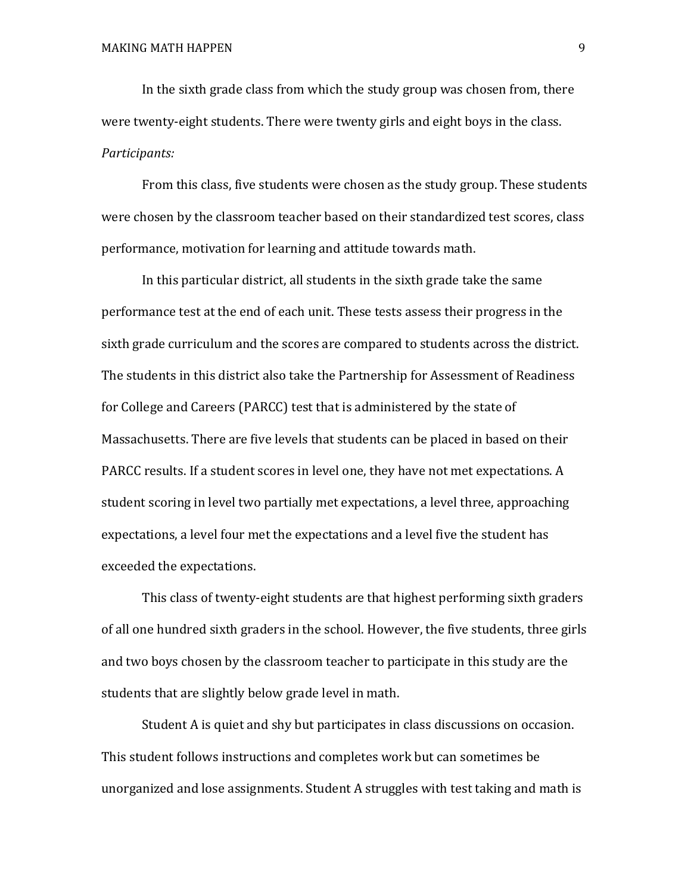In the sixth grade class from which the study group was chosen from, there were twenty-eight students. There were twenty girls and eight boys in the class. *Participants:*

From this class, five students were chosen as the study group. These students were chosen by the classroom teacher based on their standardized test scores, class performance, motivation for learning and attitude towards math.

In this particular district, all students in the sixth grade take the same performance test at the end of each unit. These tests assess their progress in the sixth grade curriculum and the scores are compared to students across the district. The students in this district also take the Partnership for Assessment of Readiness for College and Careers (PARCC) test that is administered by the state of Massachusetts. There are five levels that students can be placed in based on their PARCC results. If a student scores in level one, they have not met expectations. A student scoring in level two partially met expectations, a level three, approaching expectations, a level four met the expectations and a level five the student has exceeded the expectations.

This class of twenty-eight students are that highest performing sixth graders of all one hundred sixth graders in the school. However, the five students, three girls and two boys chosen by the classroom teacher to participate in this study are the students that are slightly below grade level in math.

Student A is quiet and shy but participates in class discussions on occasion. This student follows instructions and completes work but can sometimes be unorganized and lose assignments. Student A struggles with test taking and math is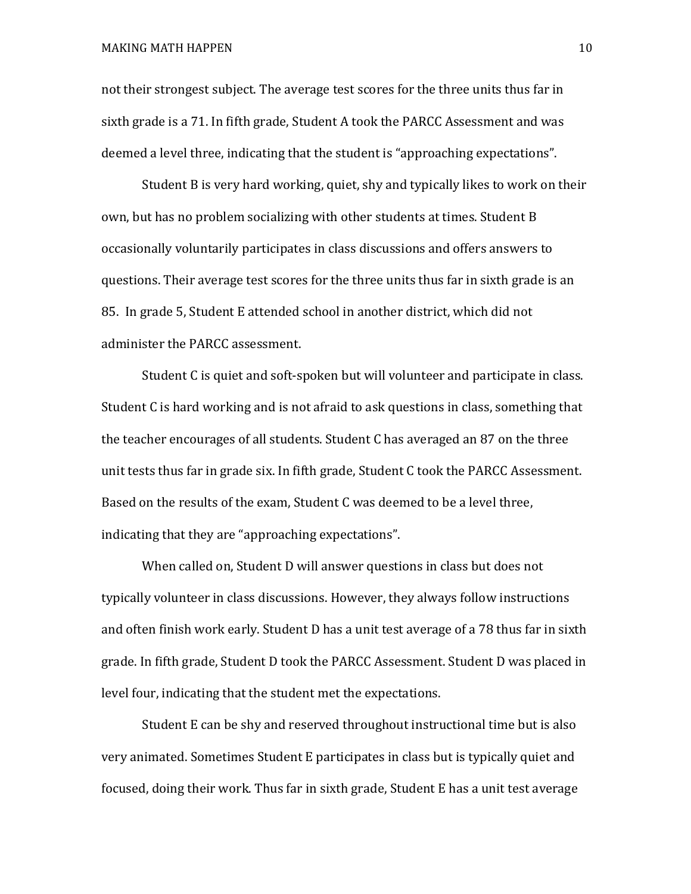not their strongest subject. The average test scores for the three units thus far in sixth grade is a 71. In fifth grade, Student A took the PARCC Assessment and was deemed a level three, indicating that the student is "approaching expectations".

Student B is very hard working, quiet, shy and typically likes to work on their own, but has no problem socializing with other students at times. Student B occasionally voluntarily participates in class discussions and offers answers to questions. Their average test scores for the three units thus far in sixth grade is an 85. In grade 5, Student E attended school in another district, which did not administer the PARCC assessment.

Student C is quiet and soft-spoken but will volunteer and participate in class. Student C is hard working and is not afraid to ask questions in class, something that the teacher encourages of all students. Student C has averaged an 87 on the three unit tests thus far in grade six. In fifth grade, Student C took the PARCC Assessment. Based on the results of the exam, Student C was deemed to be a level three, indicating that they are "approaching expectations".

When called on, Student D will answer questions in class but does not typically volunteer in class discussions. However, they always follow instructions and often finish work early. Student D has a unit test average of a 78 thus far in sixth grade. In fifth grade, Student D took the PARCC Assessment. Student D was placed in level four, indicating that the student met the expectations.

Student E can be shy and reserved throughout instructional time but is also very animated. Sometimes Student E participates in class but is typically quiet and focused, doing their work. Thus far in sixth grade, Student E has a unit test average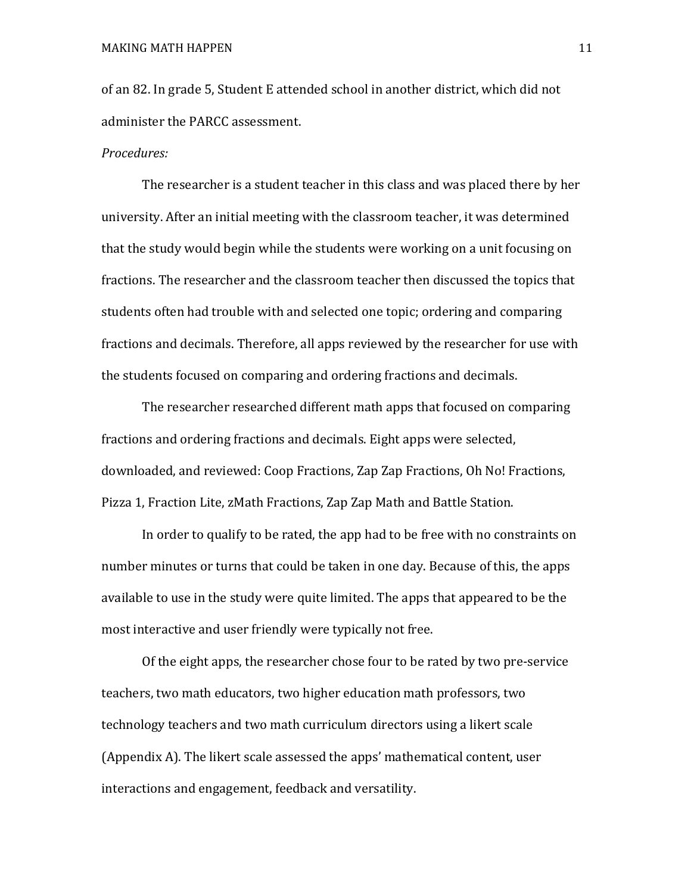of an 82. In grade 5, Student E attended school in another district, which did not administer the PARCC assessment.

#### *Procedures:*

The researcher is a student teacher in this class and was placed there by her university. After an initial meeting with the classroom teacher, it was determined that the study would begin while the students were working on a unit focusing on fractions. The researcher and the classroom teacher then discussed the topics that students often had trouble with and selected one topic; ordering and comparing fractions and decimals. Therefore, all apps reviewed by the researcher for use with the students focused on comparing and ordering fractions and decimals.

The researcher researched different math apps that focused on comparing fractions and ordering fractions and decimals. Eight apps were selected, downloaded, and reviewed: Coop Fractions, Zap Zap Fractions, Oh No! Fractions, Pizza 1, Fraction Lite, zMath Fractions, Zap Zap Math and Battle Station.

In order to qualify to be rated, the app had to be free with no constraints on number minutes or turns that could be taken in one day. Because of this, the apps available to use in the study were quite limited. The apps that appeared to be the most interactive and user friendly were typically not free.

Of the eight apps, the researcher chose four to be rated by two pre-service teachers, two math educators, two higher education math professors, two technology teachers and two math curriculum directors using a likert scale (Appendix A). The likert scale assessed the apps' mathematical content, user interactions and engagement, feedback and versatility.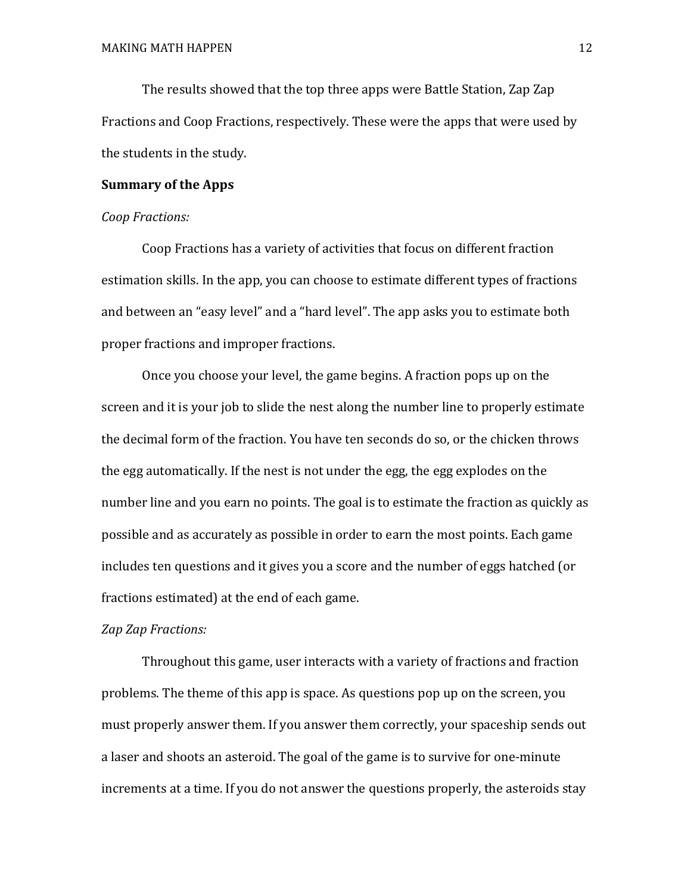The results showed that the top three apps were Battle Station, Zap Zap Fractions and Coop Fractions, respectively. These were the apps that were used by the students in the study.

#### **Summary of the Apps**

#### *Coop Fractions:*

Coop Fractions has a variety of activities that focus on different fraction estimation skills. In the app, you can choose to estimate different types of fractions and between an "easy level" and a "hard level". The app asks you to estimate both proper fractions and improper fractions.

Once you choose your level, the game begins. A fraction pops up on the screen and it is your job to slide the nest along the number line to properly estimate the decimal form of the fraction. You have ten seconds do so, or the chicken throws the egg automatically. If the nest is not under the egg, the egg explodes on the number line and you earn no points. The goal is to estimate the fraction as quickly as possible and as accurately as possible in order to earn the most points. Each game includes ten questions and it gives you a score and the number of eggs hatched (or fractions estimated) at the end of each game.

#### *Zap Zap Fractions:*

Throughout this game, user interacts with a variety of fractions and fraction problems. The theme of this app is space. As questions pop up on the screen, you must properly answer them. If you answer them correctly, your spaceship sends out a laser and shoots an asteroid. The goal of the game is to survive for one-minute increments at a time. If you do not answer the questions properly, the asteroids stay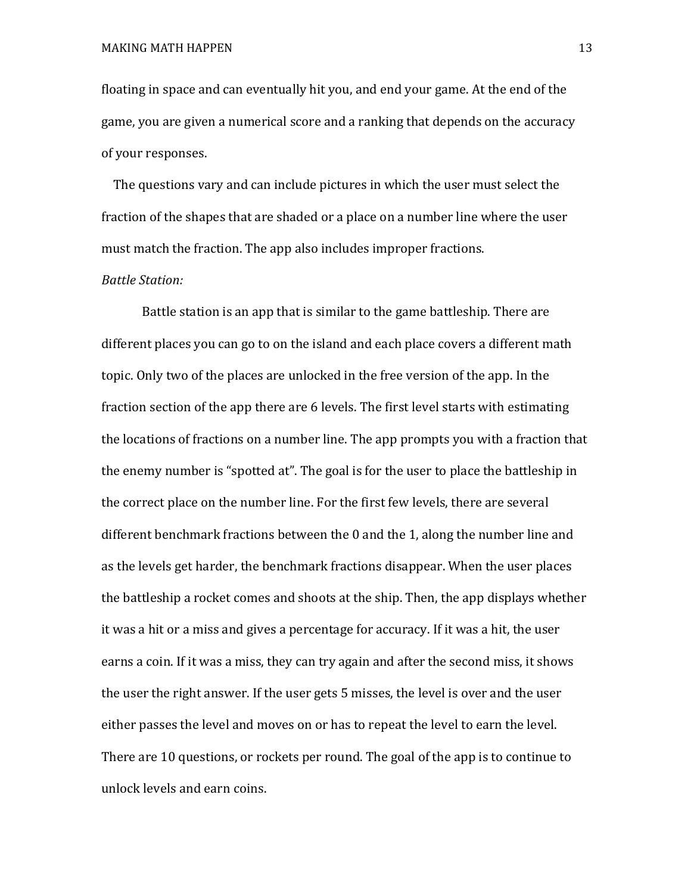floating in space and can eventually hit you, and end your game. At the end of the game, you are given a numerical score and a ranking that depends on the accuracy of your responses.

The questions vary and can include pictures in which the user must select the fraction of the shapes that are shaded or a place on a number line where the user must match the fraction. The app also includes improper fractions.

#### *Battle Station:*

Battle station is an app that is similar to the game battleship. There are different places you can go to on the island and each place covers a different math topic. Only two of the places are unlocked in the free version of the app. In the fraction section of the app there are 6 levels. The first level starts with estimating the locations of fractions on a number line. The app prompts you with a fraction that the enemy number is "spotted at". The goal is for the user to place the battleship in the correct place on the number line. For the first few levels, there are several different benchmark fractions between the 0 and the 1, along the number line and as the levels get harder, the benchmark fractions disappear. When the user places the battleship a rocket comes and shoots at the ship. Then, the app displays whether it was a hit or a miss and gives a percentage for accuracy. If it was a hit, the user earns a coin. If it was a miss, they can try again and after the second miss, it shows the user the right answer. If the user gets 5 misses, the level is over and the user either passes the level and moves on or has to repeat the level to earn the level. There are 10 questions, or rockets per round. The goal of the app is to continue to unlock levels and earn coins.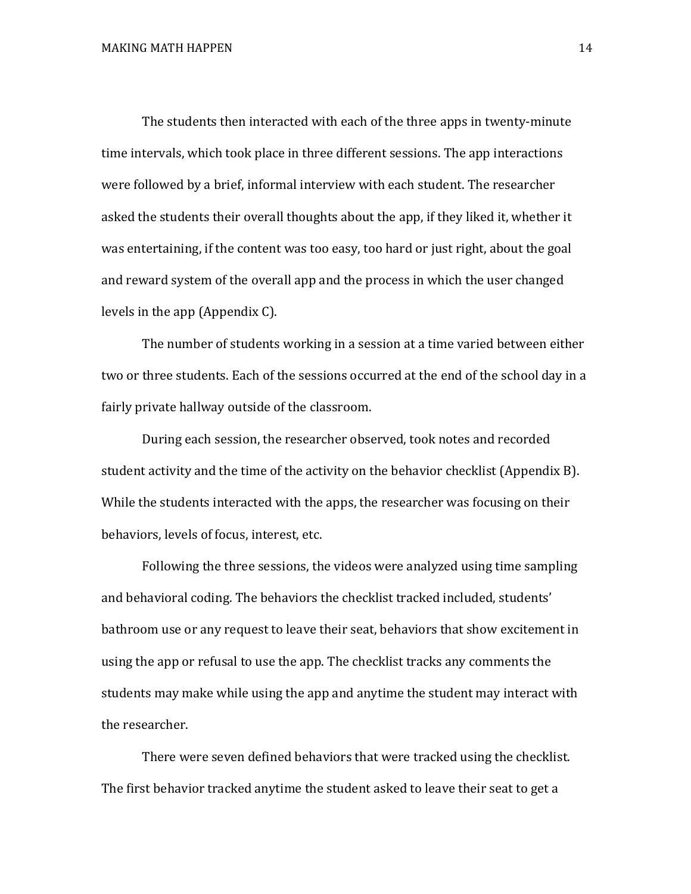The students then interacted with each of the three apps in twenty-minute time intervals, which took place in three different sessions. The app interactions were followed by a brief, informal interview with each student. The researcher asked the students their overall thoughts about the app, if they liked it, whether it was entertaining, if the content was too easy, too hard or just right, about the goal and reward system of the overall app and the process in which the user changed levels in the app (Appendix C).

The number of students working in a session at a time varied between either two or three students. Each of the sessions occurred at the end of the school day in a fairly private hallway outside of the classroom.

During each session, the researcher observed, took notes and recorded student activity and the time of the activity on the behavior checklist (Appendix B). While the students interacted with the apps, the researcher was focusing on their behaviors, levels of focus, interest, etc.

Following the three sessions, the videos were analyzed using time sampling and behavioral coding. The behaviors the checklist tracked included, students' bathroom use or any request to leave their seat, behaviors that show excitement in using the app or refusal to use the app. The checklist tracks any comments the students may make while using the app and anytime the student may interact with the researcher.

There were seven defined behaviors that were tracked using the checklist. The first behavior tracked anytime the student asked to leave their seat to get a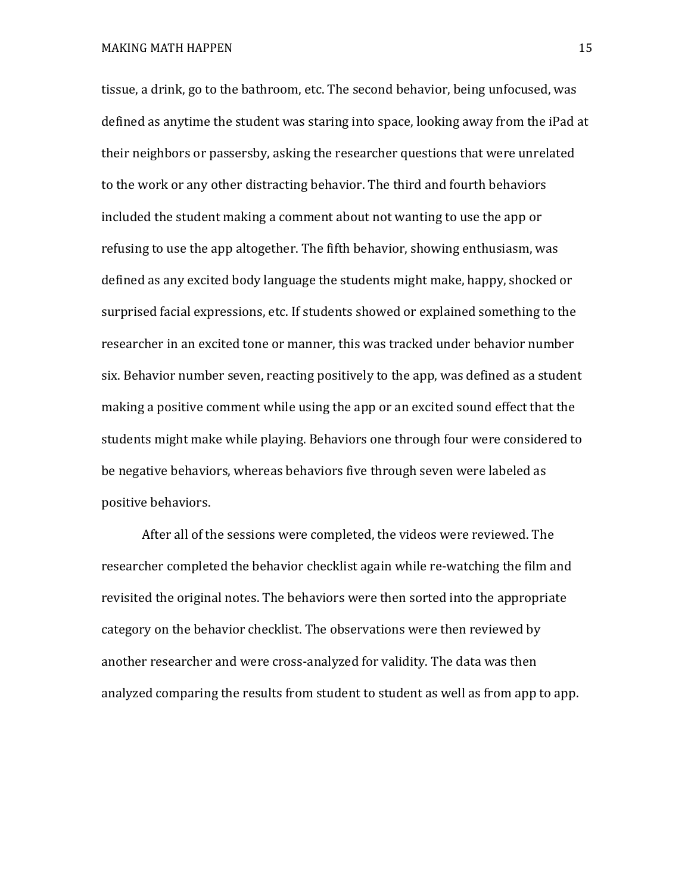tissue, a drink, go to the bathroom, etc. The second behavior, being unfocused, was defined as anytime the student was staring into space, looking away from the iPad at their neighbors or passersby, asking the researcher questions that were unrelated to the work or any other distracting behavior. The third and fourth behaviors included the student making a comment about not wanting to use the app or refusing to use the app altogether. The fifth behavior, showing enthusiasm, was defined as any excited body language the students might make, happy, shocked or surprised facial expressions, etc. If students showed or explained something to the researcher in an excited tone or manner, this was tracked under behavior number six. Behavior number seven, reacting positively to the app, was defined as a student making a positive comment while using the app or an excited sound effect that the students might make while playing. Behaviors one through four were considered to be negative behaviors, whereas behaviors five through seven were labeled as positive behaviors.

After all of the sessions were completed, the videos were reviewed. The researcher completed the behavior checklist again while re-watching the film and revisited the original notes. The behaviors were then sorted into the appropriate category on the behavior checklist. The observations were then reviewed by another researcher and were cross-analyzed for validity. The data was then analyzed comparing the results from student to student as well as from app to app.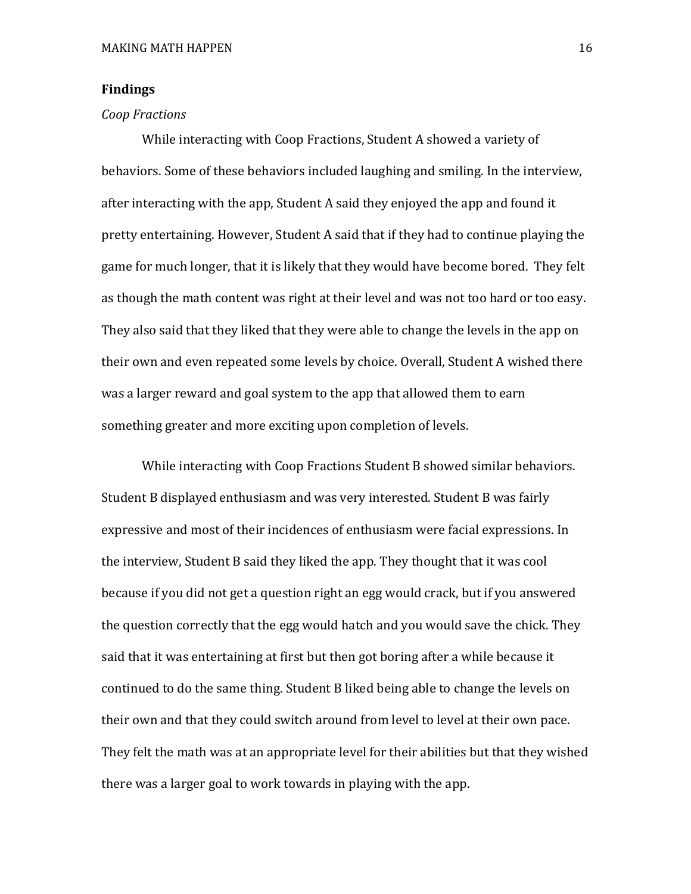#### **Findings**

#### *Coop Fractions*

While interacting with Coop Fractions, Student A showed a variety of behaviors. Some of these behaviors included laughing and smiling. In the interview, after interacting with the app, Student A said they enjoyed the app and found it pretty entertaining. However, Student A said that if they had to continue playing the game for much longer, that it is likely that they would have become bored. They felt as though the math content was right at their level and was not too hard or too easy. They also said that they liked that they were able to change the levels in the app on their own and even repeated some levels by choice. Overall, Student A wished there was a larger reward and goal system to the app that allowed them to earn something greater and more exciting upon completion of levels.

While interacting with Coop Fractions Student B showed similar behaviors. Student B displayed enthusiasm and was very interested. Student B was fairly expressive and most of their incidences of enthusiasm were facial expressions. In the interview, Student B said they liked the app. They thought that it was cool because if you did not get a question right an egg would crack, but if you answered the question correctly that the egg would hatch and you would save the chick. They said that it was entertaining at first but then got boring after a while because it continued to do the same thing. Student B liked being able to change the levels on their own and that they could switch around from level to level at their own pace. They felt the math was at an appropriate level for their abilities but that they wished there was a larger goal to work towards in playing with the app.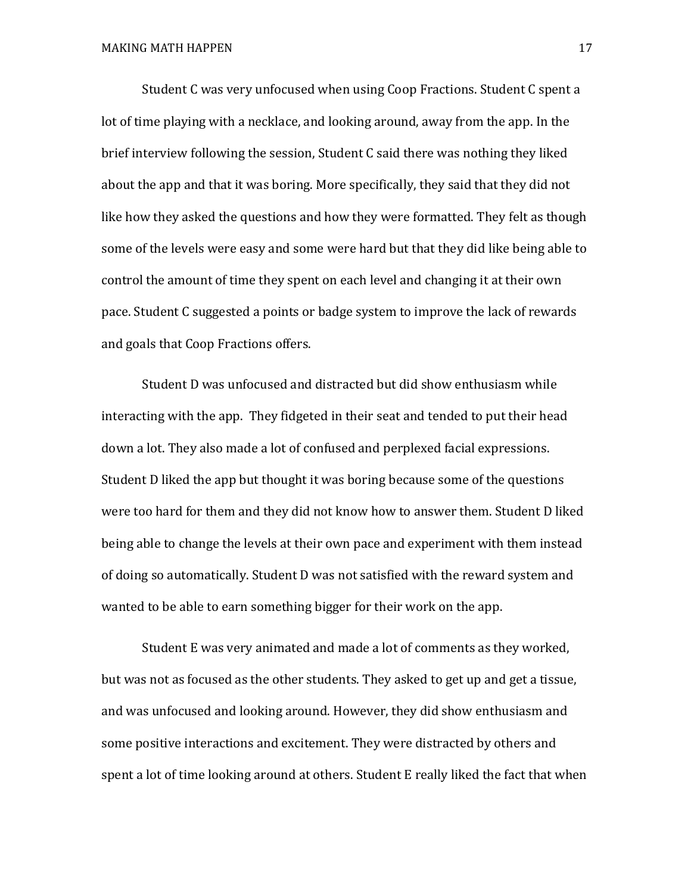Student C was very unfocused when using Coop Fractions. Student C spent a lot of time playing with a necklace, and looking around, away from the app. In the brief interview following the session, Student C said there was nothing they liked about the app and that it was boring. More specifically, they said that they did not like how they asked the questions and how they were formatted. They felt as though some of the levels were easy and some were hard but that they did like being able to control the amount of time they spent on each level and changing it at their own pace. Student C suggested a points or badge system to improve the lack of rewards and goals that Coop Fractions offers.

Student D was unfocused and distracted but did show enthusiasm while interacting with the app. They fidgeted in their seat and tended to put their head down a lot. They also made a lot of confused and perplexed facial expressions. Student D liked the app but thought it was boring because some of the questions were too hard for them and they did not know how to answer them. Student D liked being able to change the levels at their own pace and experiment with them instead of doing so automatically. Student D was not satisfied with the reward system and wanted to be able to earn something bigger for their work on the app.

Student E was very animated and made a lot of comments as they worked, but was not as focused as the other students. They asked to get up and get a tissue, and was unfocused and looking around. However, they did show enthusiasm and some positive interactions and excitement. They were distracted by others and spent a lot of time looking around at others. Student E really liked the fact that when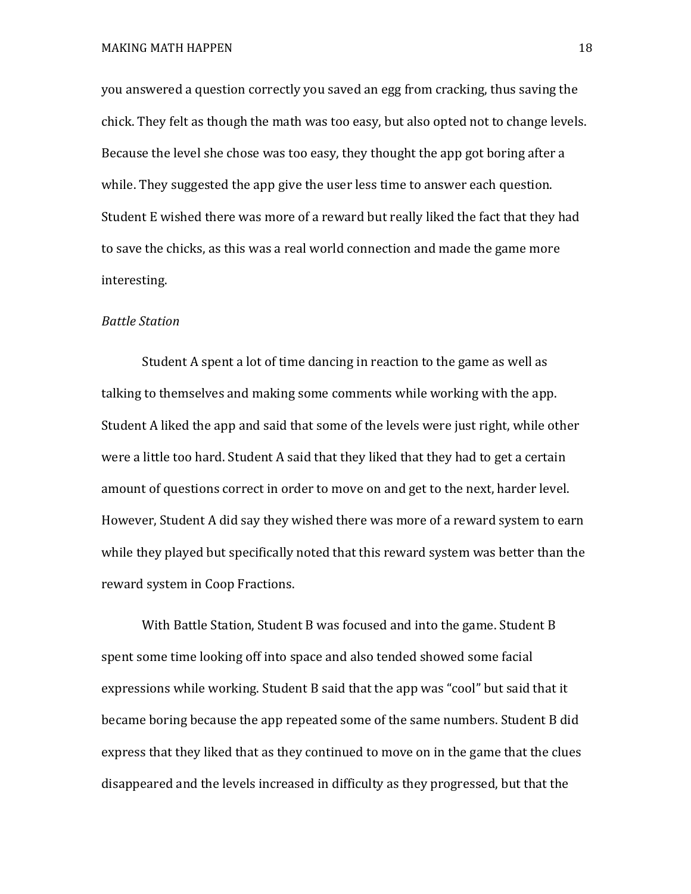MAKING MATH HAPPEN 18

you answered a question correctly you saved an egg from cracking, thus saving the chick. They felt as though the math was too easy, but also opted not to change levels. Because the level she chose was too easy, they thought the app got boring after a while. They suggested the app give the user less time to answer each question. Student E wished there was more of a reward but really liked the fact that they had to save the chicks, as this was a real world connection and made the game more interesting.

#### *Battle Station*

Student A spent a lot of time dancing in reaction to the game as well as talking to themselves and making some comments while working with the app. Student A liked the app and said that some of the levels were just right, while other were a little too hard. Student A said that they liked that they had to get a certain amount of questions correct in order to move on and get to the next, harder level. However, Student A did say they wished there was more of a reward system to earn while they played but specifically noted that this reward system was better than the reward system in Coop Fractions.

With Battle Station, Student B was focused and into the game. Student B spent some time looking off into space and also tended showed some facial expressions while working. Student B said that the app was "cool" but said that it became boring because the app repeated some of the same numbers. Student B did express that they liked that as they continued to move on in the game that the clues disappeared and the levels increased in difficulty as they progressed, but that the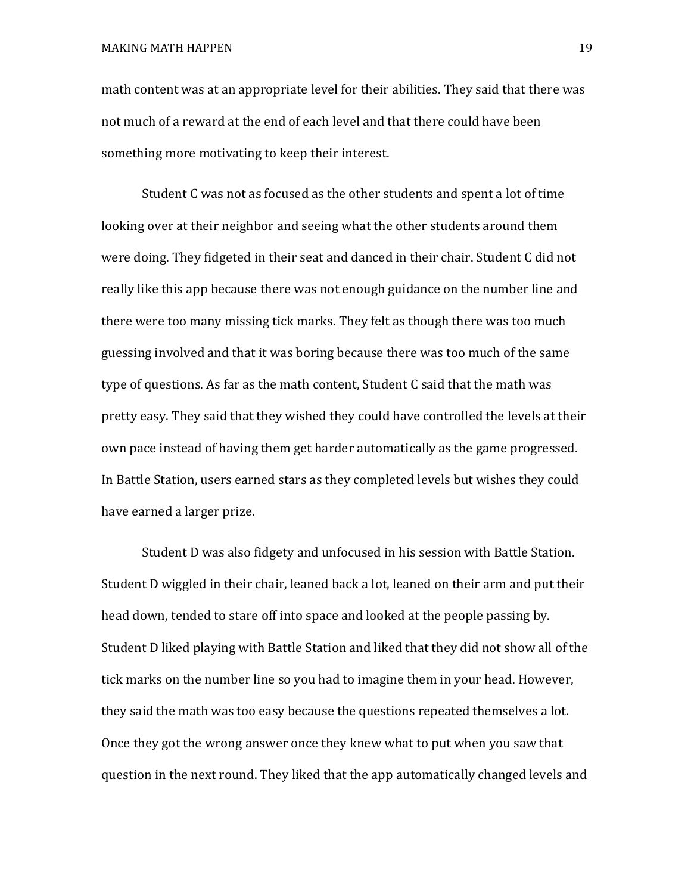math content was at an appropriate level for their abilities. They said that there was not much of a reward at the end of each level and that there could have been something more motivating to keep their interest.

Student C was not as focused as the other students and spent a lot of time looking over at their neighbor and seeing what the other students around them were doing. They fidgeted in their seat and danced in their chair. Student C did not really like this app because there was not enough guidance on the number line and there were too many missing tick marks. They felt as though there was too much guessing involved and that it was boring because there was too much of the same type of questions. As far as the math content, Student C said that the math was pretty easy. They said that they wished they could have controlled the levels at their own pace instead of having them get harder automatically as the game progressed. In Battle Station, users earned stars as they completed levels but wishes they could have earned a larger prize.

Student D was also fidgety and unfocused in his session with Battle Station. Student D wiggled in their chair, leaned back a lot, leaned on their arm and put their head down, tended to stare off into space and looked at the people passing by. Student D liked playing with Battle Station and liked that they did not show all of the tick marks on the number line so you had to imagine them in your head. However, they said the math was too easy because the questions repeated themselves a lot. Once they got the wrong answer once they knew what to put when you saw that question in the next round. They liked that the app automatically changed levels and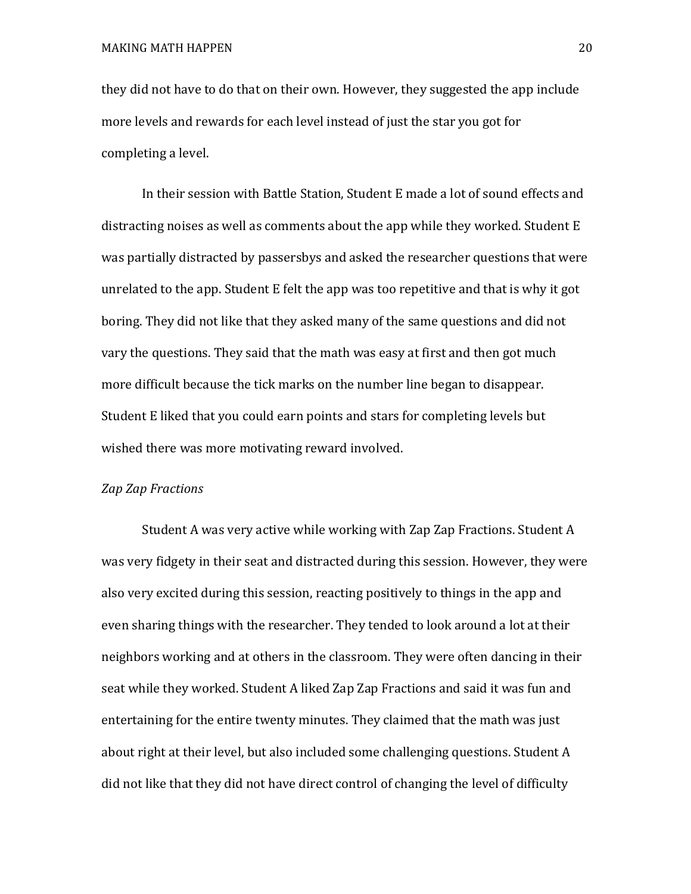they did not have to do that on their own. However, they suggested the app include more levels and rewards for each level instead of just the star you got for completing a level.

In their session with Battle Station, Student E made a lot of sound effects and distracting noises as well as comments about the app while they worked. Student E was partially distracted by passersbys and asked the researcher questions that were unrelated to the app. Student E felt the app was too repetitive and that is why it got boring. They did not like that they asked many of the same questions and did not vary the questions. They said that the math was easy at first and then got much more difficult because the tick marks on the number line began to disappear. Student E liked that you could earn points and stars for completing levels but wished there was more motivating reward involved.

#### *Zap Zap Fractions*

Student A was very active while working with Zap Zap Fractions. Student A was very fidgety in their seat and distracted during this session. However, they were also very excited during this session, reacting positively to things in the app and even sharing things with the researcher. They tended to look around a lot at their neighbors working and at others in the classroom. They were often dancing in their seat while they worked. Student A liked Zap Zap Fractions and said it was fun and entertaining for the entire twenty minutes. They claimed that the math was just about right at their level, but also included some challenging questions. Student A did not like that they did not have direct control of changing the level of difficulty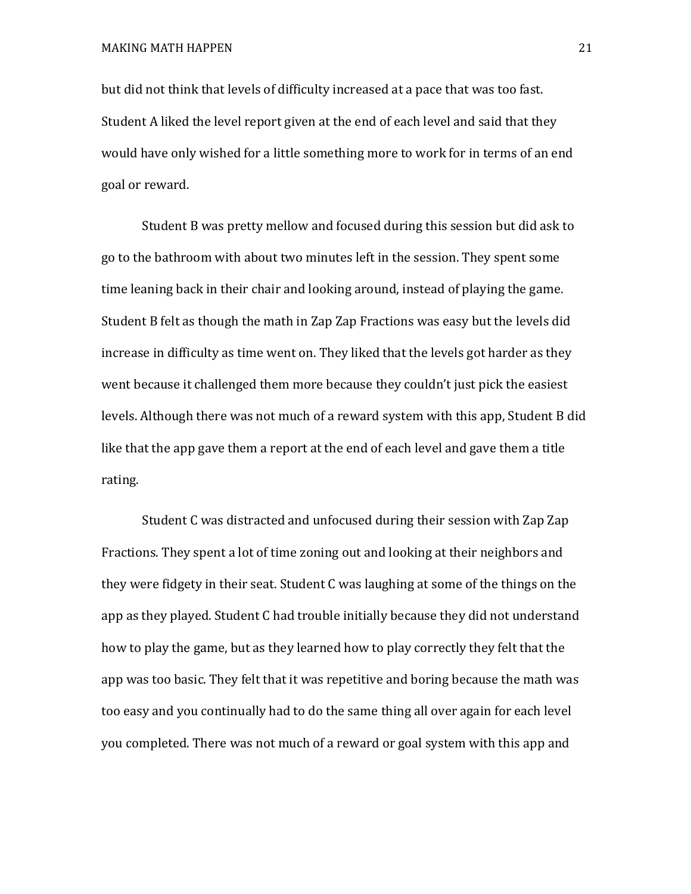but did not think that levels of difficulty increased at a pace that was too fast. Student A liked the level report given at the end of each level and said that they would have only wished for a little something more to work for in terms of an end goal or reward.

Student B was pretty mellow and focused during this session but did ask to go to the bathroom with about two minutes left in the session. They spent some time leaning back in their chair and looking around, instead of playing the game. Student B felt as though the math in Zap Zap Fractions was easy but the levels did increase in difficulty as time went on. They liked that the levels got harder as they went because it challenged them more because they couldn't just pick the easiest levels. Although there was not much of a reward system with this app, Student B did like that the app gave them a report at the end of each level and gave them a title rating.

Student C was distracted and unfocused during their session with Zap Zap Fractions. They spent a lot of time zoning out and looking at their neighbors and they were fidgety in their seat. Student C was laughing at some of the things on the app as they played. Student C had trouble initially because they did not understand how to play the game, but as they learned how to play correctly they felt that the app was too basic. They felt that it was repetitive and boring because the math was too easy and you continually had to do the same thing all over again for each level you completed. There was not much of a reward or goal system with this app and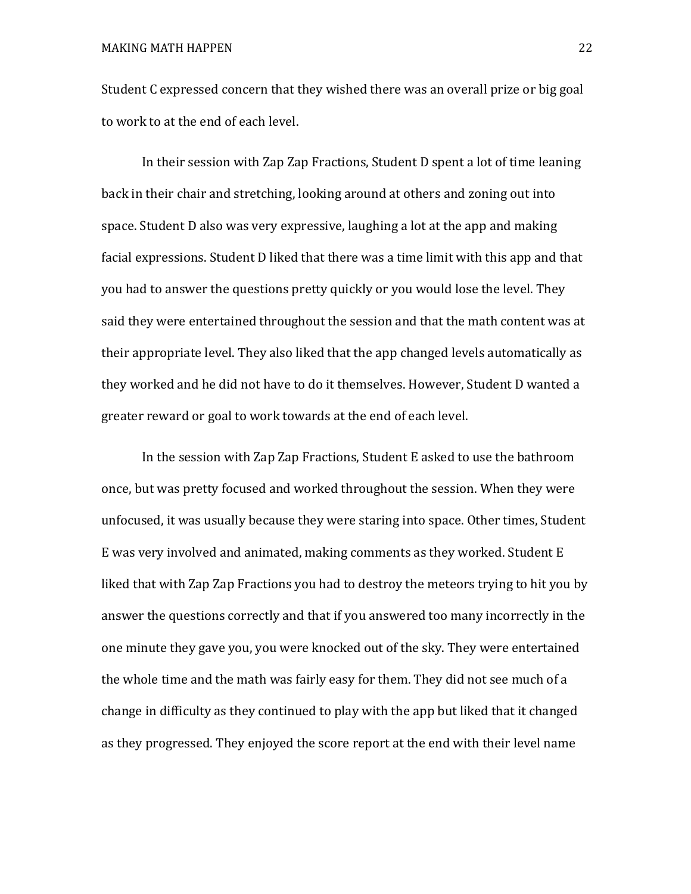Student C expressed concern that they wished there was an overall prize or big goal to work to at the end of each level.

In their session with Zap Zap Fractions, Student D spent a lot of time leaning back in their chair and stretching, looking around at others and zoning out into space. Student D also was very expressive, laughing a lot at the app and making facial expressions. Student D liked that there was a time limit with this app and that you had to answer the questions pretty quickly or you would lose the level. They said they were entertained throughout the session and that the math content was at their appropriate level. They also liked that the app changed levels automatically as they worked and he did not have to do it themselves. However, Student D wanted a greater reward or goal to work towards at the end of each level.

In the session with Zap Zap Fractions, Student E asked to use the bathroom once, but was pretty focused and worked throughout the session. When they were unfocused, it was usually because they were staring into space. Other times, Student E was very involved and animated, making comments as they worked. Student E liked that with Zap Zap Fractions you had to destroy the meteors trying to hit you by answer the questions correctly and that if you answered too many incorrectly in the one minute they gave you, you were knocked out of the sky. They were entertained the whole time and the math was fairly easy for them. They did not see much of a change in difficulty as they continued to play with the app but liked that it changed as they progressed. They enjoyed the score report at the end with their level name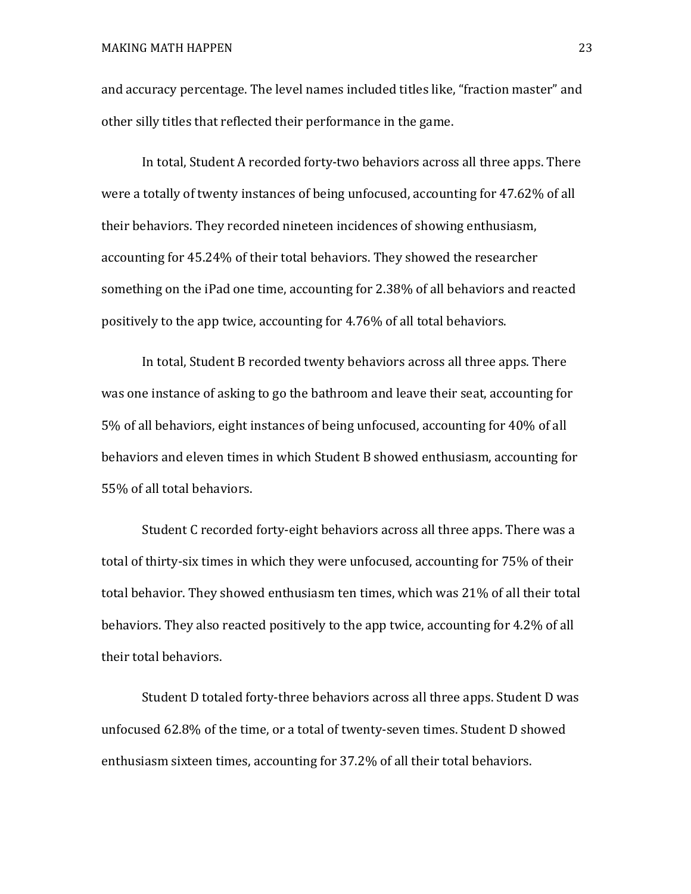and accuracy percentage. The level names included titles like, "fraction master" and other silly titles that reflected their performance in the game.

In total, Student A recorded forty-two behaviors across all three apps. There were a totally of twenty instances of being unfocused, accounting for 47.62% of all their behaviors. They recorded nineteen incidences of showing enthusiasm, accounting for 45.24% of their total behaviors. They showed the researcher something on the iPad one time, accounting for 2.38% of all behaviors and reacted positively to the app twice, accounting for 4.76% of all total behaviors.

In total, Student B recorded twenty behaviors across all three apps. There was one instance of asking to go the bathroom and leave their seat, accounting for 5% of all behaviors, eight instances of being unfocused, accounting for 40% of all behaviors and eleven times in which Student B showed enthusiasm, accounting for 55% of all total behaviors.

Student C recorded forty-eight behaviors across all three apps. There was a total of thirty-six times in which they were unfocused, accounting for 75% of their total behavior. They showed enthusiasm ten times, which was 21% of all their total behaviors. They also reacted positively to the app twice, accounting for 4.2% of all their total behaviors.

Student D totaled forty-three behaviors across all three apps. Student D was unfocused 62.8% of the time, or a total of twenty-seven times. Student D showed enthusiasm sixteen times, accounting for 37.2% of all their total behaviors.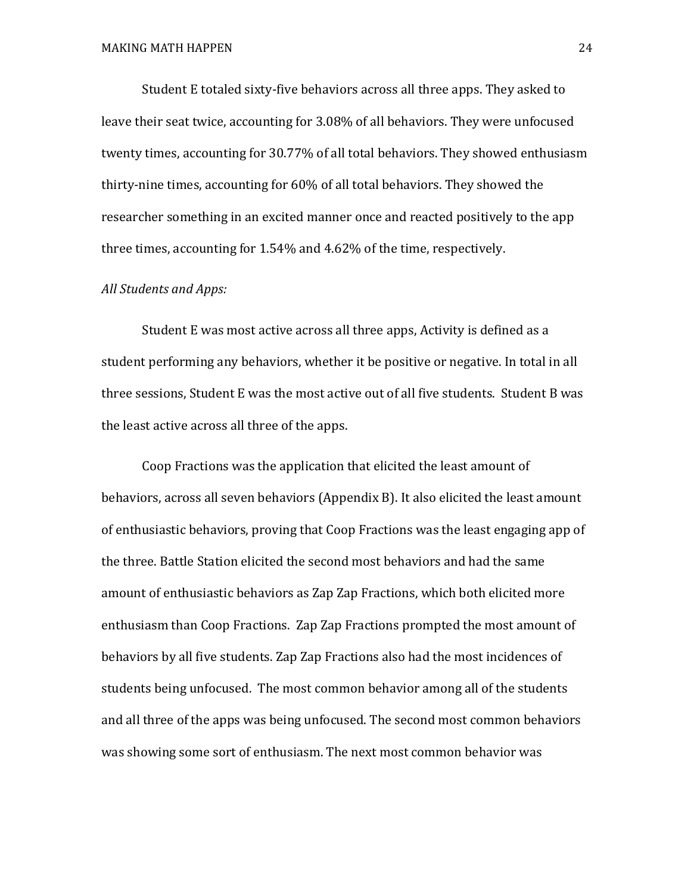Student E totaled sixty-five behaviors across all three apps. They asked to leave their seat twice, accounting for 3.08% of all behaviors. They were unfocused twenty times, accounting for 30.77% of all total behaviors. They showed enthusiasm thirty-nine times, accounting for 60% of all total behaviors. They showed the researcher something in an excited manner once and reacted positively to the app three times, accounting for 1.54% and 4.62% of the time, respectively.

#### *All Students and Apps:*

Student E was most active across all three apps, Activity is defined as a student performing any behaviors, whether it be positive or negative. In total in all three sessions, Student E was the most active out of all five students. Student B was the least active across all three of the apps.

Coop Fractions was the application that elicited the least amount of behaviors, across all seven behaviors (Appendix B). It also elicited the least amount of enthusiastic behaviors, proving that Coop Fractions was the least engaging app of the three. Battle Station elicited the second most behaviors and had the same amount of enthusiastic behaviors as Zap Zap Fractions, which both elicited more enthusiasm than Coop Fractions. Zap Zap Fractions prompted the most amount of behaviors by all five students. Zap Zap Fractions also had the most incidences of students being unfocused. The most common behavior among all of the students and all three of the apps was being unfocused. The second most common behaviors was showing some sort of enthusiasm. The next most common behavior was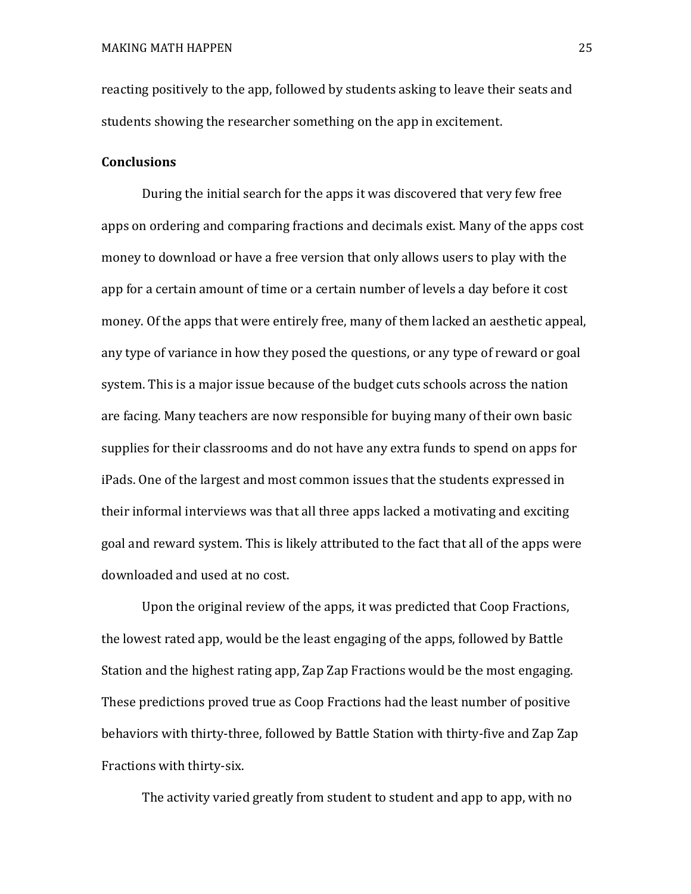reacting positively to the app, followed by students asking to leave their seats and students showing the researcher something on the app in excitement.

#### **Conclusions**

During the initial search for the apps it was discovered that very few free apps on ordering and comparing fractions and decimals exist. Many of the apps cost money to download or have a free version that only allows users to play with the app for a certain amount of time or a certain number of levels a day before it cost money. Of the apps that were entirely free, many of them lacked an aesthetic appeal, any type of variance in how they posed the questions, or any type of reward or goal system. This is a major issue because of the budget cuts schools across the nation are facing. Many teachers are now responsible for buying many of their own basic supplies for their classrooms and do not have any extra funds to spend on apps for iPads. One of the largest and most common issues that the students expressed in their informal interviews was that all three apps lacked a motivating and exciting goal and reward system. This is likely attributed to the fact that all of the apps were downloaded and used at no cost.

Upon the original review of the apps, it was predicted that Coop Fractions, the lowest rated app, would be the least engaging of the apps, followed by Battle Station and the highest rating app, Zap Zap Fractions would be the most engaging. These predictions proved true as Coop Fractions had the least number of positive behaviors with thirty-three, followed by Battle Station with thirty-five and Zap Zap Fractions with thirty-six.

The activity varied greatly from student to student and app to app, with no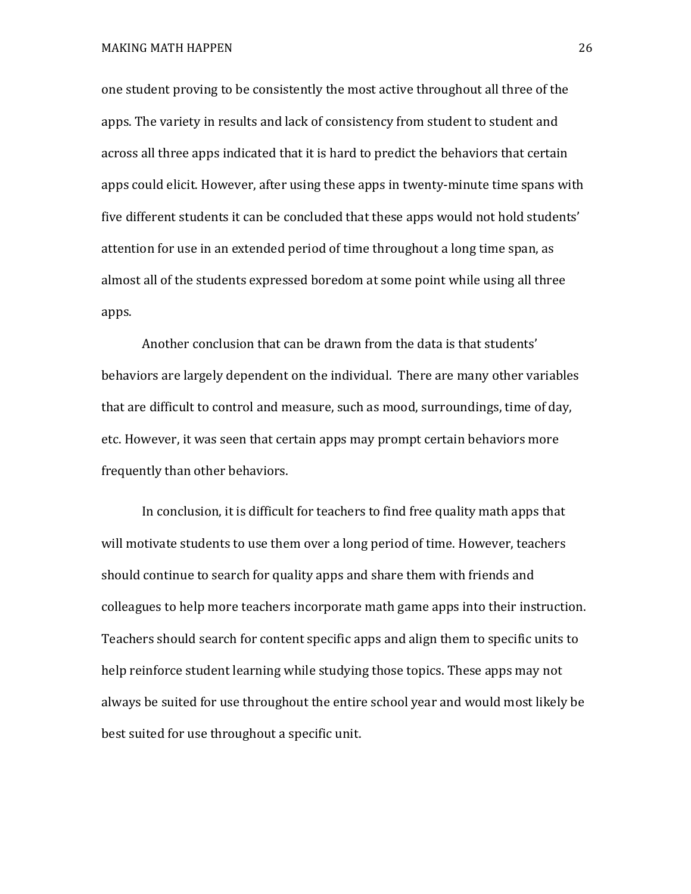MAKING MATH HAPPEN 26

one student proving to be consistently the most active throughout all three of the apps. The variety in results and lack of consistency from student to student and across all three apps indicated that it is hard to predict the behaviors that certain apps could elicit. However, after using these apps in twenty-minute time spans with five different students it can be concluded that these apps would not hold students' attention for use in an extended period of time throughout a long time span, as almost all of the students expressed boredom at some point while using all three apps.

Another conclusion that can be drawn from the data is that students' behaviors are largely dependent on the individual. There are many other variables that are difficult to control and measure, such as mood, surroundings, time of day, etc. However, it was seen that certain apps may prompt certain behaviors more frequently than other behaviors.

In conclusion, it is difficult for teachers to find free quality math apps that will motivate students to use them over a long period of time. However, teachers should continue to search for quality apps and share them with friends and colleagues to help more teachers incorporate math game apps into their instruction. Teachers should search for content specific apps and align them to specific units to help reinforce student learning while studying those topics. These apps may not always be suited for use throughout the entire school year and would most likely be best suited for use throughout a specific unit.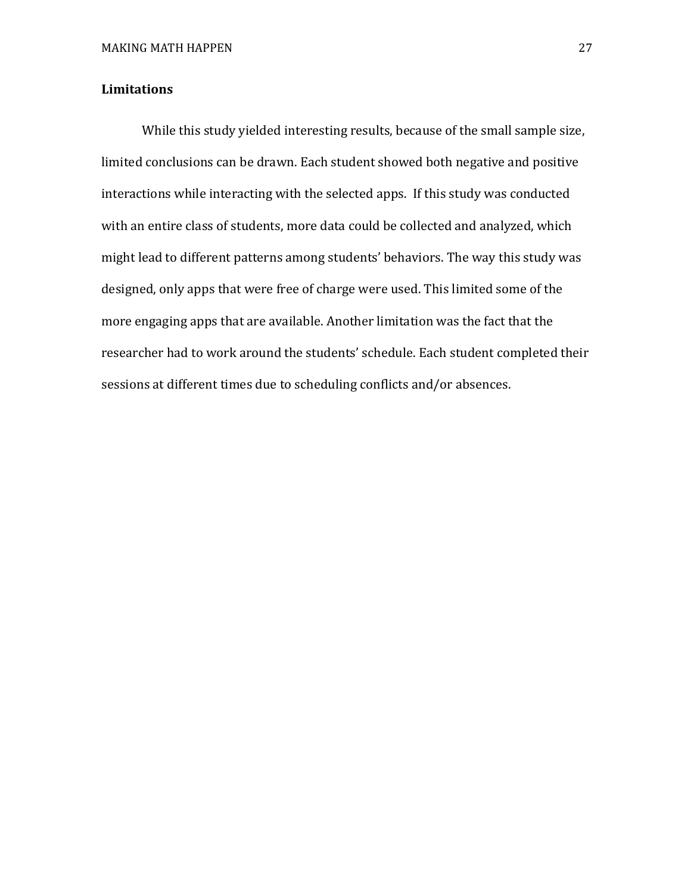#### **Limitations**

While this study yielded interesting results, because of the small sample size, limited conclusions can be drawn. Each student showed both negative and positive interactions while interacting with the selected apps. If this study was conducted with an entire class of students, more data could be collected and analyzed, which might lead to different patterns among students' behaviors. The way this study was designed, only apps that were free of charge were used. This limited some of the more engaging apps that are available. Another limitation was the fact that the researcher had to work around the students' schedule. Each student completed their sessions at different times due to scheduling conflicts and/or absences.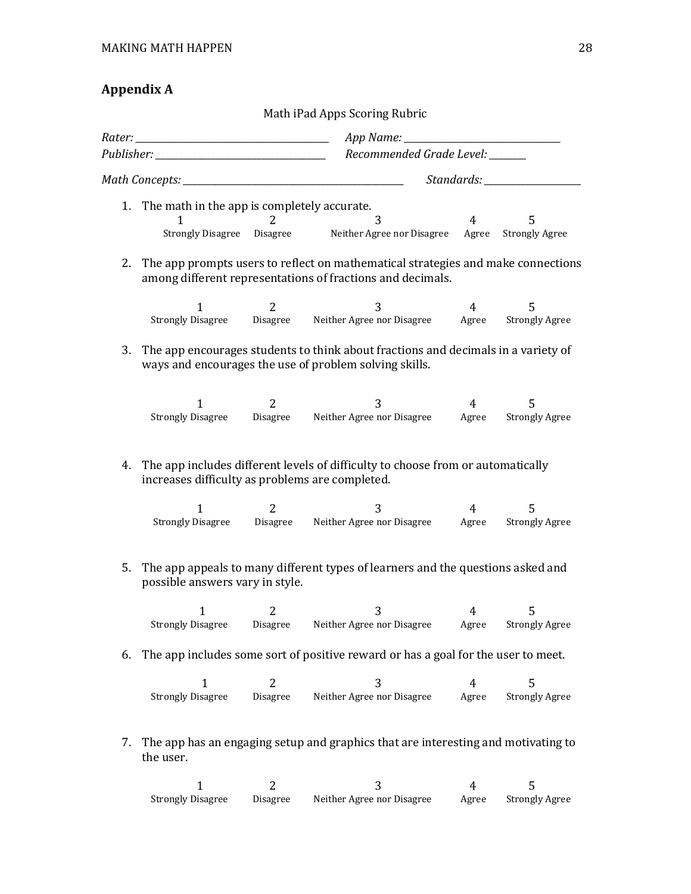#### **Appendix A**

Math iPad Apps Scoring Rubric *Rater: \_\_\_\_\_\_\_\_\_\_\_\_\_\_\_\_\_\_\_\_\_\_\_\_\_\_\_\_\_\_\_\_\_\_\_\_\_\_\_\_\_\_ App Name: \_\_\_\_\_\_\_\_\_\_\_\_\_\_\_\_\_\_\_\_\_\_\_\_\_\_\_\_\_\_\_\_\_\_ Publisher: \_\_\_\_\_\_\_\_\_\_\_\_\_\_\_\_\_\_\_\_\_\_\_\_\_\_\_\_\_\_\_\_\_\_\_\_\_ Recommended Grade Level: \_\_\_\_\_\_\_\_ Math Concepts: \_\_\_\_\_\_\_\_\_\_\_\_\_\_\_\_\_\_\_\_\_\_\_\_\_\_\_\_\_\_\_\_\_\_\_\_\_\_\_\_\_\_\_\_\_\_\_\_ Standards: \_\_\_\_\_\_\_\_\_\_\_\_\_\_\_\_\_\_\_\_\_* 1. The math in the app is completely accurate.<br> $\frac{1}{2}$  1 2 3 4 5 Strongly Disagree Disagree Neither Agree nor Disagree Agree Strongly Agree 2. The app prompts users to reflect on mathematical strategies and make connections among different representations of fractions and decimals. 1 2 3 4 5 Strongly Disagree Disagree Neither Agree nor Disagree Agree Strongly Agree 3. The app encourages students to think about fractions and decimals in a variety of ways and encourages the use of problem solving skills. 1 1 2 3 3 4 5<br>Strongly Disagree Disagree Neither Agree nor Disagree Agree Strongly Agree 4. The app includes different levels of difficulty to choose from or automatically increases difficulty as problems are completed. 1 1 2 2 3 4 5<br>Strongly Disagree Disagree Neither Agree nor Disagree Agree Strongly Agree 5. The app appeals to many different types of learners and the questions asked and possible answers vary in style. 1 1 2 3 3 4 5<br>Strongly Disagree Disagree Neither Agree nor Disagree Agree Strongly Agree 6. The app includes some sort of positive reward or has a goal for the user to meet. 1 1 2 3 3 4 5<br>Strongly Disagree Disagree Neither Agree nor Disagree Agree Strongly Agree 7. The app has an engaging setup and graphics that are interesting and motivating to the user. 1 1 2 3 3 4 5<br>Strongly Disagree Disagree Neither Agree nor Disagree Agree Strongly Agree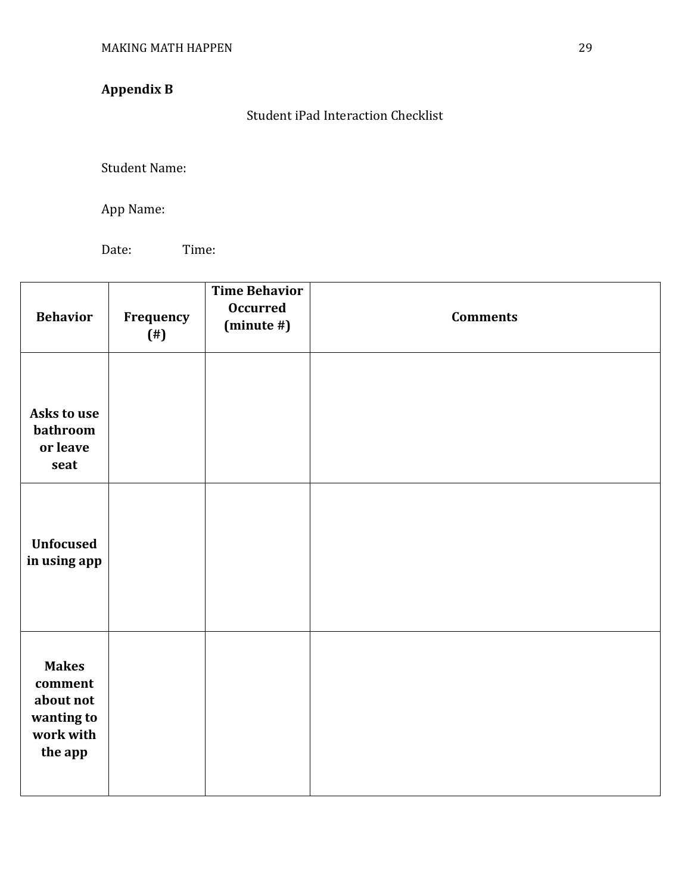# **Appendix B**

Student iPad Interaction Checklist

Student Name:

App Name:

Date: Time:

| <b>Behavior</b>                                                            | Frequency<br>$($ # $)$ | <b>Time Behavior</b><br><b>Occurred</b><br>$(minute\#)$ | <b>Comments</b> |
|----------------------------------------------------------------------------|------------------------|---------------------------------------------------------|-----------------|
| Asks to use<br>bathroom<br>or leave<br>seat                                |                        |                                                         |                 |
| <b>Unfocused</b><br>in using app                                           |                        |                                                         |                 |
| <b>Makes</b><br>comment<br>about not<br>wanting to<br>work with<br>the app |                        |                                                         |                 |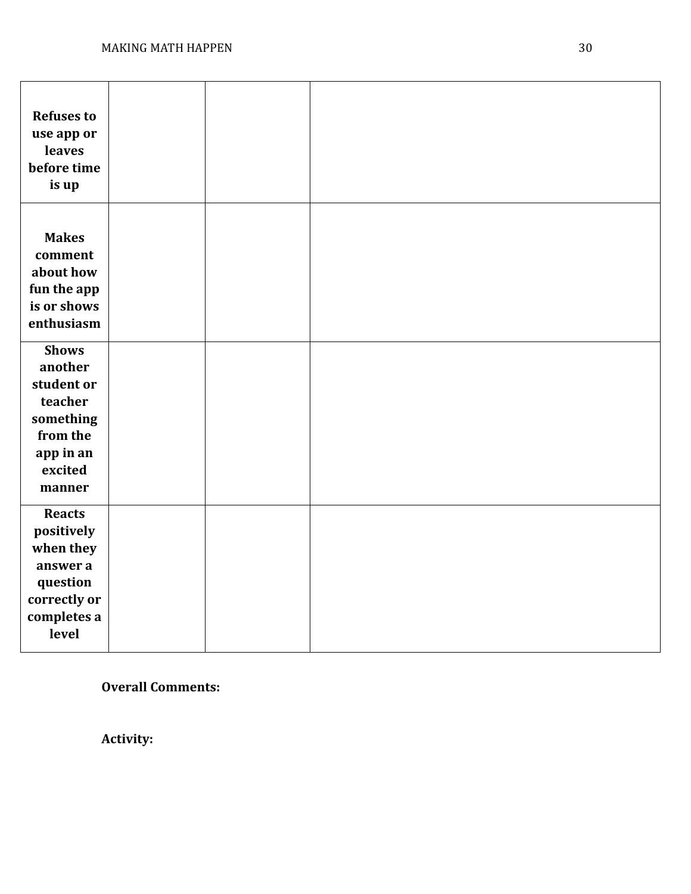| <b>Refuses to</b><br>use app or<br>leaves<br>before time<br>is up                                           |  |  |
|-------------------------------------------------------------------------------------------------------------|--|--|
| <b>Makes</b><br>comment<br>about how<br>fun the app<br>is or shows<br>enthusiasm                            |  |  |
| <b>Shows</b><br>another<br>student or<br>teacher<br>something<br>from the<br>app in an<br>excited<br>manner |  |  |
| <b>Reacts</b><br>positively<br>when they<br>answer a<br>question<br>correctly or<br>completes a<br>level    |  |  |

**Overall Comments:**

**Activity:**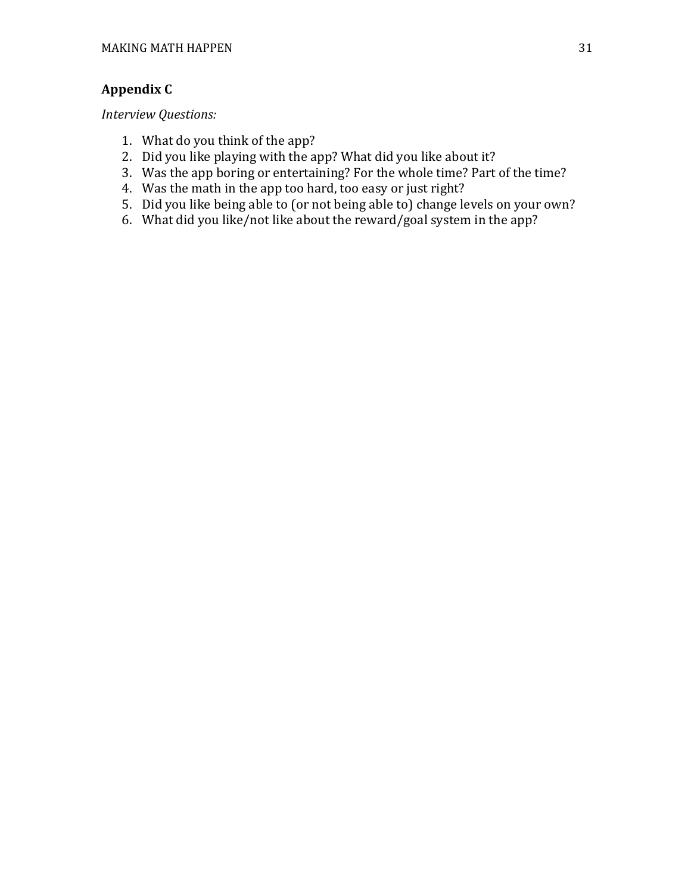### **Appendix C**

*Interview Questions:*

- 1. What do you think of the app?
- 2. Did you like playing with the app? What did you like about it?
- 3. Was the app boring or entertaining? For the whole time? Part of the time?
- 4. Was the math in the app too hard, too easy or just right?
- 5. Did you like being able to (or not being able to) change levels on your own?
- 6. What did you like/not like about the reward/goal system in the app?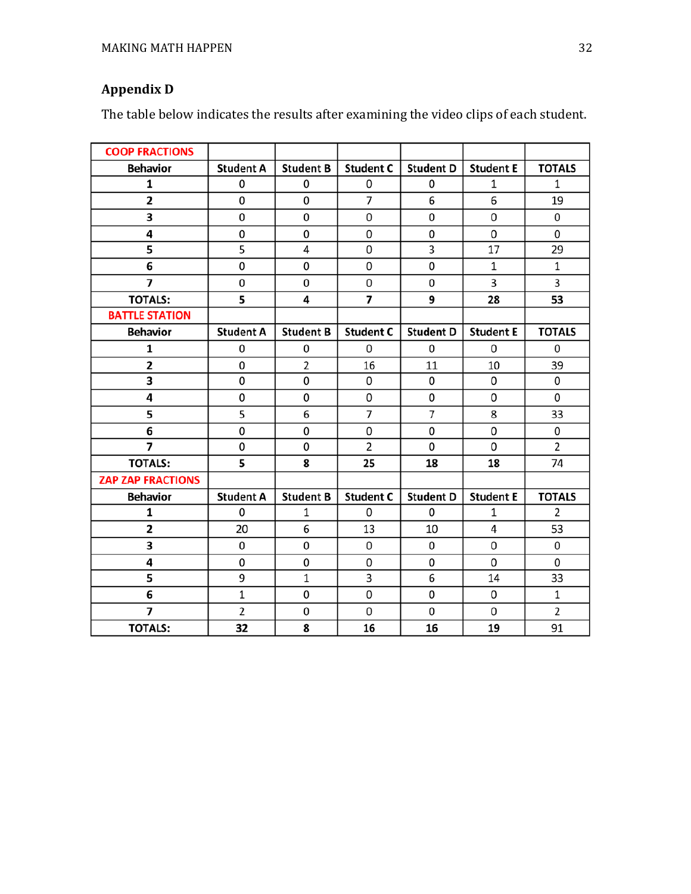# **Appendix D**

The table below indicates the results after examining the video clips of each student.

| <b>COOP FRACTIONS</b>    |                  |                  |                  |                  |                  |                |
|--------------------------|------------------|------------------|------------------|------------------|------------------|----------------|
| <b>Behavior</b>          | <b>Student A</b> | <b>Student B</b> | <b>Student C</b> | <b>Student D</b> | <b>Student E</b> | <b>TOTALS</b>  |
| 1                        | 0                | 0                | $\Omega$         | 0                | 1                | $\mathbf{1}$   |
| $\mathbf{2}$             | 0                | 0                | $\overline{7}$   | 6                | 6                | 19             |
| 3                        | 0                | 0                | 0                | 0                | 0                | 0              |
| 4                        | 0                | 0                | 0                | 0                | 0                | 0              |
| 5                        | 5                | 4                | $\Omega$         | 3                | 17               | 29             |
| 6                        | 0                | 0                | 0                | 0                | 1                | $\mathbf 1$    |
| $\overline{7}$           | 0                | 0                | 0                | 0                | 3                | 3              |
| <b>TOTALS:</b>           | 5                | 4                | 7                | 9                | 28               | 53             |
| <b>BATTLE STATION</b>    |                  |                  |                  |                  |                  |                |
| <b>Behavior</b>          | <b>Student A</b> | <b>Student B</b> | <b>Student C</b> | <b>Student D</b> | <b>Student E</b> | <b>TOTALS</b>  |
| 1                        | 0                | 0                | 0                | 0                | 0                | 0              |
| $\overline{\mathbf{2}}$  | 0                | $\overline{2}$   | 16               | 11               | 10               | 39             |
| 3                        | 0                | 0                | 0                | 0                | 0                | 0              |
| 4                        | 0                | 0                | 0                | 0                | 0                | 0              |
| 5                        | 5                | 6                | $\overline{7}$   | 7                | 8                | 33             |
| 6                        | 0                | 0                | 0                | 0                | 0                | 0              |
| $\overline{7}$           | 0                | 0                | $\overline{2}$   | 0                | 0                | 2              |
| <b>TOTALS:</b>           | 5                | 8                | 25               | 18               | 18               | 74             |
| <b>ZAP ZAP FRACTIONS</b> |                  |                  |                  |                  |                  |                |
| <b>Behavior</b>          | <b>Student A</b> | <b>Student B</b> | <b>Student C</b> | <b>Student D</b> | <b>Student E</b> | <b>TOTALS</b>  |
| 1                        | 0                | 1                | 0                | 0                | 1                | 2              |
| 2                        | 20               | 6                | 13               | 10               | 4                | 53             |
| 3                        | 0                | 0                | 0                | 0                | 0                | 0              |
| 4                        | 0                | 0                | 0                | 0                | 0                | 0              |
| 5                        | 9                | $\mathbf 1$      | 3                | 6                | 14               | 33             |
| 6                        | $\mathbf 1$      | 0                | 0                | 0                | 0                | $\mathbf 1$    |
| $\overline{\phantom{a}}$ | $\overline{2}$   | 0                | 0                | 0                | 0                | $\overline{2}$ |
| <b>TOTALS:</b>           | 32               | 8                | 16               | 16               | 19               | 91             |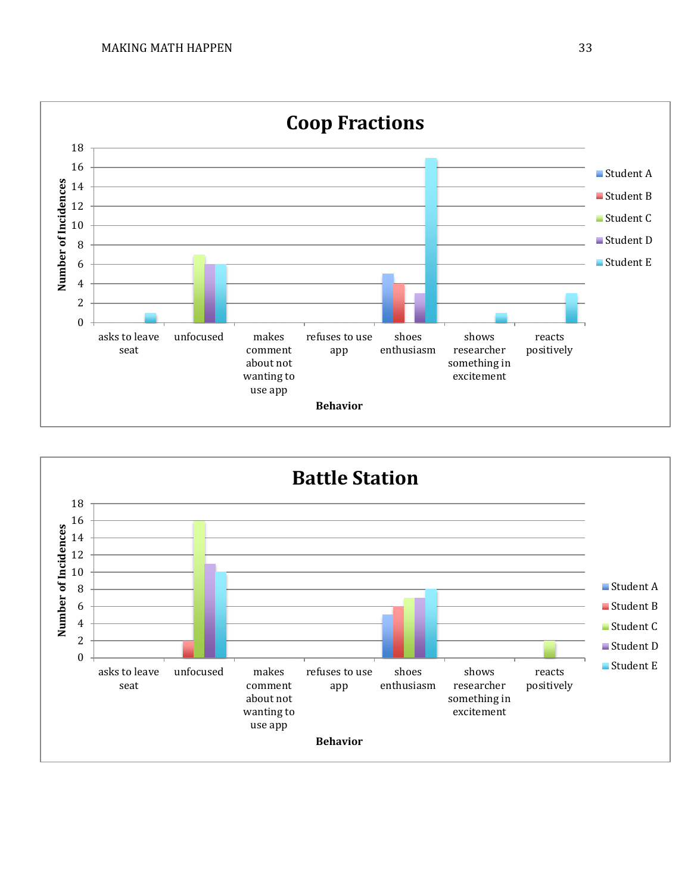

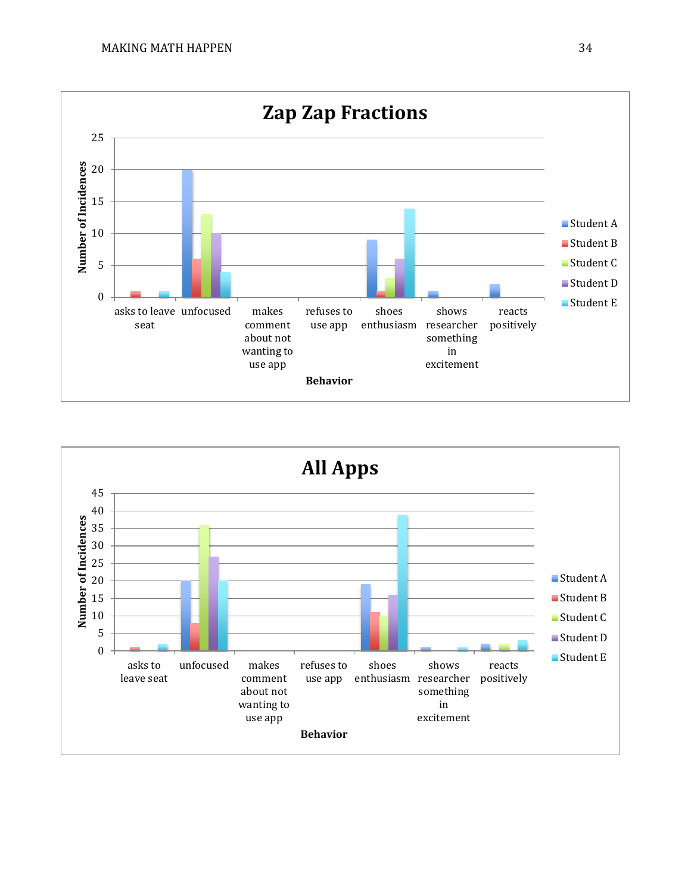